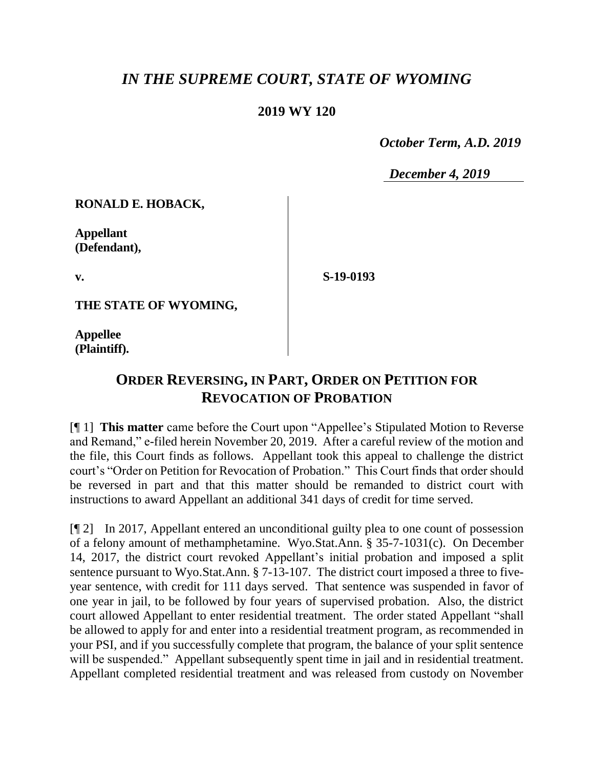## *IN THE SUPREME COURT, STATE OF WYOMING*

## **2019 WY 120**

 *October Term, A.D. 2019*

*December 4, 2019*

**RONALD E. HOBACK,**

**Appellant (Defendant),**

**v.**

**S-19-0193**

**THE STATE OF WYOMING,**

**Appellee (Plaintiff).**

## **ORDER REVERSING, IN PART, ORDER ON PETITION FOR REVOCATION OF PROBATION**

[¶ 1] **This matter** came before the Court upon "Appellee's Stipulated Motion to Reverse and Remand," e-filed herein November 20, 2019. After a careful review of the motion and the file, this Court finds as follows. Appellant took this appeal to challenge the district court's "Order on Petition for Revocation of Probation." This Court finds that order should be reversed in part and that this matter should be remanded to district court with instructions to award Appellant an additional 341 days of credit for time served.

[¶ 2] In 2017, Appellant entered an unconditional guilty plea to one count of possession of a felony amount of methamphetamine. Wyo.Stat.Ann. § 35-7-1031(c). On December 14, 2017, the district court revoked Appellant's initial probation and imposed a split sentence pursuant to Wyo.Stat.Ann. § 7-13-107. The district court imposed a three to fiveyear sentence, with credit for 111 days served. That sentence was suspended in favor of one year in jail, to be followed by four years of supervised probation. Also, the district court allowed Appellant to enter residential treatment. The order stated Appellant "shall be allowed to apply for and enter into a residential treatment program, as recommended in your PSI, and if you successfully complete that program, the balance of your split sentence will be suspended." Appellant subsequently spent time in jail and in residential treatment. Appellant completed residential treatment and was released from custody on November